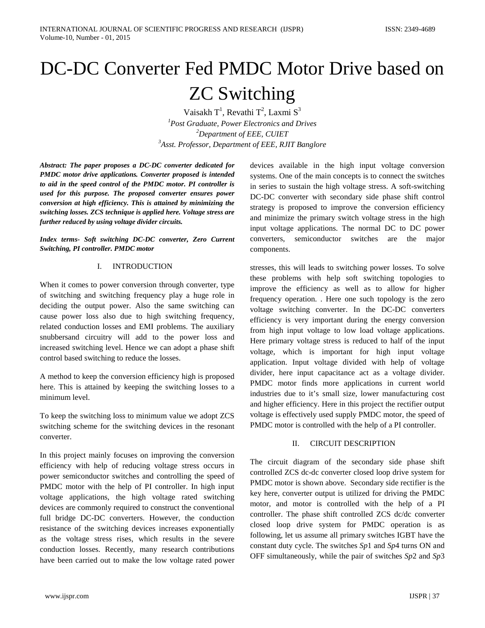# DC-DC Converter Fed PMDC Motor Drive based on ZC Switching

Vaisakh T $^1$ , Revathi T $^2$ , Laxmi  $\text{S}^3$  *Post Graduate, Power Electronics and Drives Department of EEE, CUIET Asst. Professor, Department of EEE, RJIT Banglore*

*Abstract: The paper proposes a DC-DC converter dedicated for PMDC motor drive applications. Converter proposed is intended to aid in the speed control of the PMDC motor. PI controller is used for this purpose. The proposed converter ensures power conversion at high efficiency. This is attained by minimizing the switching losses. ZCS technique is applied here. Voltage stress are further reduced by using voltage divider circuits.*

*Index terms- Soft switching DC-DC converter, Zero Current Switching, PI controller. PMDC motor*

## I. INTRODUCTION

When it comes to power conversion through converter, type of switching and switching frequency play a huge role in deciding the output power. Also the same switching can cause power loss also due to high switching frequency, related conduction losses and EMI problems. The auxiliary snubbersand circuitry will add to the power loss and increased switching level. Hence we can adopt a phase shift control based switching to reduce the losses.

A method to keep the conversion efficiency high is proposed here. This is attained by keeping the switching losses to a minimum level.

To keep the switching loss to minimum value we adopt ZCS switching scheme for the switching devices in the resonant converter.

In this project mainly focuses on improving the conversion efficiency with help of reducing voltage stress occurs in power semiconductor switches and controlling the speed of PMDC motor with the help of PI controller. In high input voltage applications, the high voltage rated switching devices are commonly required to construct the conventional full bridge DC-DC converters. However, the conduction resistance of the switching devices increases exponentially as the voltage stress rises, which results in the severe conduction losses. Recently, many research contributions have been carried out to make the low voltage rated power devices available in the high input voltage conversion systems. One of the main concepts is to connect the switches in series to sustain the high voltage stress. A soft-switching DC-DC converter with secondary side phase shift control strategy is proposed to improve the conversion efficiency and minimize the primary switch voltage stress in the high input voltage applications. The normal DC to DC power converters, semiconductor switches are the major components.

stresses, this will leads to switching power losses. To solve these problems with help soft switching topologies to improve the efficiency as well as to allow for higher frequency operation. . Here one such topology is the zero voltage switching converter. In the DC-DC converters efficiency is very important during the energy conversion from high input voltage to low load voltage applications. Here primary voltage stress is reduced to half of the input voltage, which is important for high input voltage application. Input voltage divided with help of voltage divider, here input capacitance act as a voltage divider. PMDC motor finds more applications in current world industries due to it's small size, lower manufacturing cost and higher efficiency. Here in this project the rectifier output voltage is effectively used supply PMDC motor, the speed of PMDC motor is controlled with the help of a PI controller.

## II. CIRCUIT DESCRIPTION

The circuit diagram of the secondary side phase shift controlled ZCS dc-dc converter closed loop drive system for PMDC motor is shown above. Secondary side rectifier is the key here, converter output is utilized for driving the PMDC motor, and motor is controlled with the help of a PI controller. The phase shift controlled ZCS dc/dc converter closed loop drive system for PMDC operation is as following, let us assume all primary switches IGBT have the constant duty cycle. The switches *Sp*1 and *Sp*4 turns ON and OFF simultaneously, while the pair of switches *Sp*2 and *Sp*3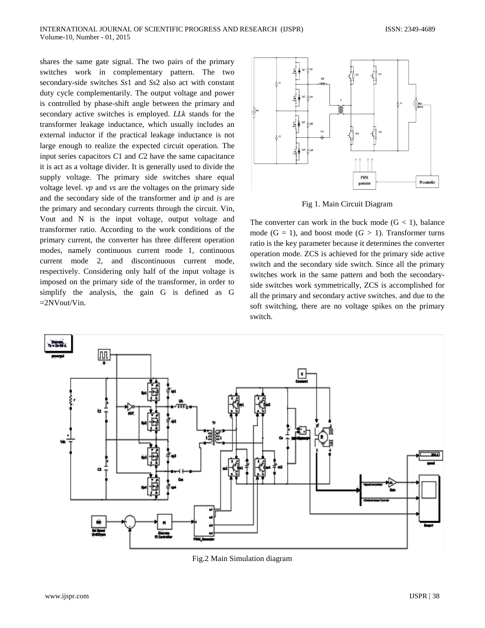shares the same gate signal. The two pairs of the primary switches work in complementary pattern. The two secondary-side switches *Ss*1 and *Ss*2 also act with constant duty cycle complementarily. The output voltage and power is controlled by phase-shift angle between the primary and secondary active switches is employed. *LLk* stands for the transformer leakage inductance, which usually includes an external inductor if the practical leakage inductance is not large enough to realize the expected circuit operation. The input series capacitors *C*1 and *C*2 have the same capacitance it is act as a voltage divider. It is generally used to divide the supply voltage. The primary side switches share equal voltage level. *vp* and *vs* are the voltages on the primary side and the secondary side of the transformer and *ip* and *is* are the primary and secondary currents through the circuit. Vin, Vout and N is the input voltage, output voltage and transformer ratio. According to the work conditions of the primary current, the converter has three different operation modes, namely continuous current mode 1, continuous current mode 2, and discontinuous current mode, respectively. Considering only half of the input voltage is imposed on the primary side of the transformer, in order to simplify the analysis, the gain G is defined as G =2NVout/Vin.



Fig 1. Main Circuit Diagram

The converter can work in the buck mode  $(G < 1)$ , balance mode  $(G = 1)$ , and boost mode  $(G > 1)$ . Transformer turns ratio is the key parameter because it determines the converter operation mode. ZCS is achieved for the primary side active switch and the secondary side switch. Since all the primary switches work in the same pattern and both the secondaryside switches work symmetrically, ZCS is accomplished for all the primary and secondary active switches. and due to the soft switching, there are no voltage spikes on the primary switch.



Fig.2 Main Simulation diagram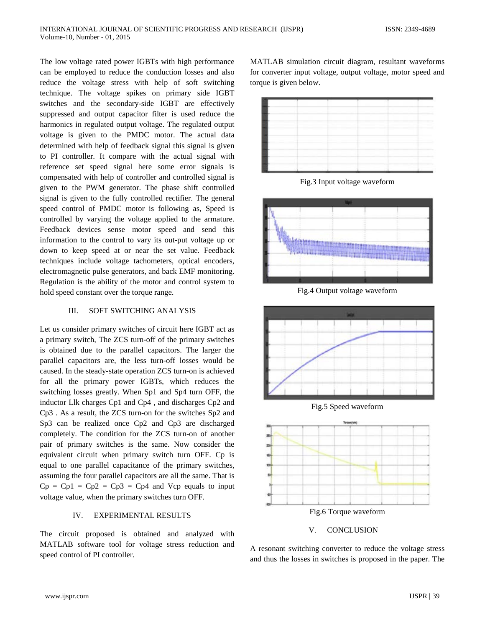The low voltage rated power IGBTs with high performance can be employed to reduce the conduction losses and also reduce the voltage stress with help of soft switching technique. The voltage spikes on primary side IGBT switches and the secondary-side IGBT are effectively suppressed and output capacitor filter is used reduce the harmonics in regulated output voltage. The regulated output voltage is given to the PMDC motor. The actual data determined with help of feedback signal this signal is given to PI controller. It compare with the actual signal with reference set speed signal here some error signals is compensated with help of controller and controlled signal is given to the PWM generator. The phase shift controlled signal is given to the fully controlled rectifier. The general speed control of PMDC motor is following as, Speed is controlled by varying the voltage applied to the armature. Feedback devices sense motor speed and send this information to the control to vary its out-put voltage up or down to keep speed at or near the set value. Feedback techniques include voltage tachometers, optical encoders, electromagnetic pulse generators, and back EMF monitoring. Regulation is the ability of the motor and control system to hold speed constant over the torque range.

#### III. SOFT SWITCHING ANALYSIS

Let us consider primary switches of circuit here IGBT act as a primary switch, The ZCS turn-off of the primary switches is obtained due to the parallel capacitors. The larger the parallel capacitors are, the less turn-off losses would be caused. In the steady-state operation ZCS turn-on is achieved for all the primary power IGBTs, which reduces the switching losses greatly. When Sp1 and Sp4 turn OFF, the inductor Llk charges Cp1 and Cp4 , and discharges Cp2 and Cp3 . As a result, the ZCS turn-on for the switches Sp2 and Sp3 can be realized once Cp2 and Cp3 are discharged completely. The condition for the ZCS turn-on of another pair of primary switches is the same. Now consider the equivalent circuit when primary switch turn OFF. Cp is equal to one parallel capacitance of the primary switches, assuming the four parallel capacitors are all the same. That is  $Cp = Cp1 = Cp2 = Cp3 = Cp4$  and Vcp equals to input voltage value, when the primary switches turn OFF.

### IV. EXPERIMENTAL RESULTS

The circuit proposed is obtained and analyzed with MATLAB software tool for voltage stress reduction and speed control of PI controller.

MATLAB simulation circuit diagram, resultant waveforms for converter input voltage, output voltage, motor speed and torque is given below.



Fig.3 Input voltage waveform



Fig.4 Output voltage waveform





V. CONCLUSION

A resonant switching converter to reduce the voltage stress and thus the losses in switches is proposed in the paper. The